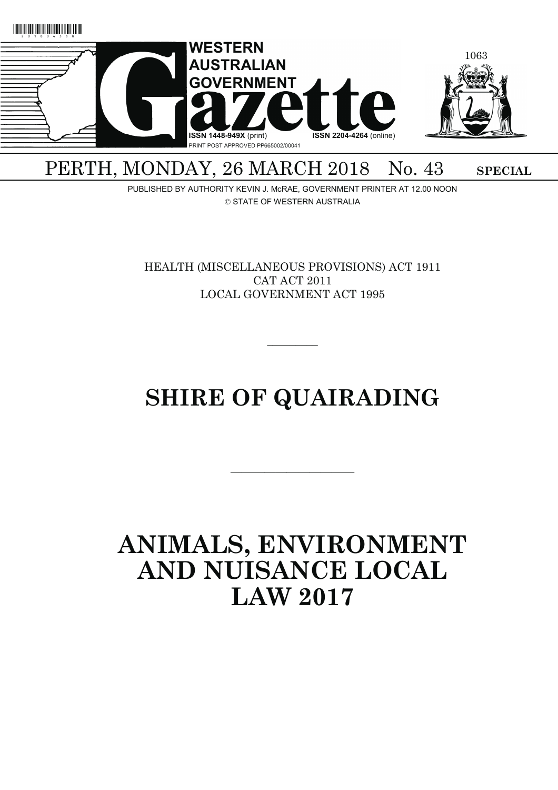

## PERTH, MONDAY, 26 MARCH 2018 No. 43 SPECIAL

PUBLISHED BY AUTHORITY KEVIN J. McRAE, GOVERNMENT PRINTER AT 12.00 NOON © STATE OF WESTERN AUSTRALIA

HEALTH (MISCELLANEOUS PROVISIONS) ACT 1911 CAT ACT 2011 LOCAL GOVERNMENT ACT 1995

# **SHIRE OF QUAIRADING**

———————————

 $\overline{\phantom{a}}$   $\overline{\phantom{a}}$ 

## **ANIMALS, ENVIRONMENT AND NUISANCE LOCAL LAW 2017**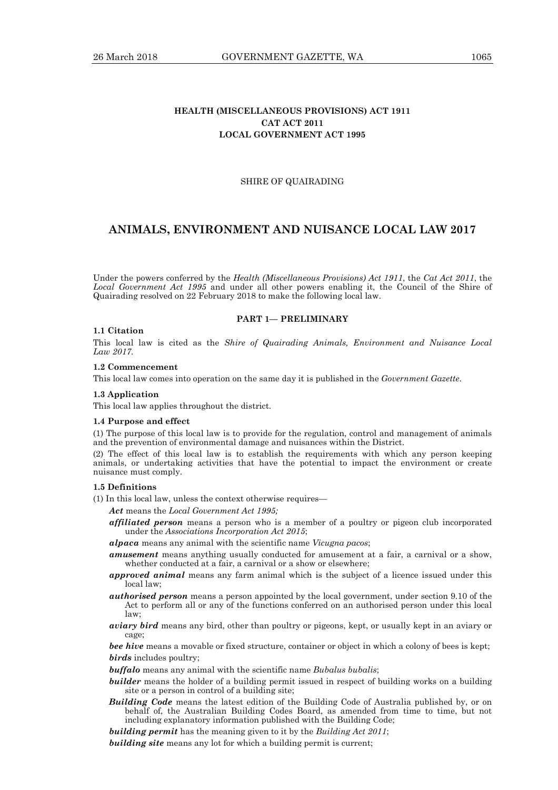## **HEALTH (MISCELLANEOUS PROVISIONS) ACT 1911 CAT ACT 2011 LOCAL GOVERNMENT ACT 1995**

### SHIRE OF QUAIRADING

## **ANIMALS, ENVIRONMENT AND NUISANCE LOCAL LAW 2017**

Under the powers conferred by the *Health (Miscellaneous Provisions) Act 1911*, the *Cat Act 2011*, the *Local Government Act 1995* and under all other powers enabling it, the Council of the Shire of Quairading resolved on 22 February 2018 to make the following local law.

#### **PART 1— PRELIMINARY**

## **1.1 Citation**

This local law is cited as the *Shire of Quairading Animals, Environment and Nuisance Local Law 2017.*

### **1.2 Commencement**

This local law comes into operation on the same day it is published in the *Government Gazette*.

#### **1.3 Application**

This local law applies throughout the district.

#### **1.4 Purpose and effect**

(1) The purpose of this local law is to provide for the regulation, control and management of animals and the prevention of environmental damage and nuisances within the District.

(2) The effect of this local law is to establish the requirements with which any person keeping animals, or undertaking activities that have the potential to impact the environment or create nuisance must comply.

## **1.5 Definitions**

(1) In this local law, unless the context otherwise requires—

*Act* means the *Local Government Act 1995;*

- *affiliated person* means a person who is a member of a poultry or pigeon club incorporated under the *Associations Incorporation Act 2015*;
- *alpaca* means any animal with the scientific name *Vicugna pacos*;
- *amusement* means anything usually conducted for amusement at a fair, a carnival or a show, whether conducted at a fair, a carnival or a show or elsewhere;
- *approved animal* means any farm animal which is the subject of a licence issued under this local law;
- *authorised person* means a person appointed by the local government, under section 9.10 of the Act to perform all or any of the functions conferred on an authorised person under this local law;
- *aviary bird* means any bird, other than poultry or pigeons, kept, or usually kept in an aviary or cage;

*bee hive* means a movable or fixed structure, container or object in which a colony of bees is kept; *birds* includes poultry;

*buffalo* means any animal with the scientific name *Bubalus bubalis*;

- *builder* means the holder of a building permit issued in respect of building works on a building site or a person in control of a building site;
- *Building Code* means the latest edition of the Building Code of Australia published by, or on behalf of, the Australian Building Codes Board, as amended from time to time, but not including explanatory information published with the Building Code;

*building permit* has the meaning given to it by the *Building Act 2011*;

**building site** means any lot for which a building permit is current;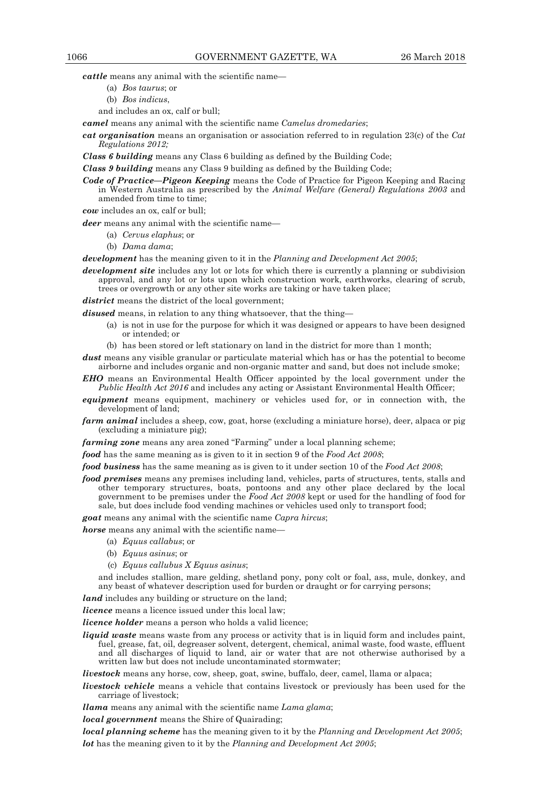*cattle* means any animal with the scientific name—

- (a) *Bos taurus*; or
- (b) *Bos indicus*,
- and includes an ox, calf or bull;

*camel* means any animal with the scientific name *Camelus dromedaries*;

- *cat organisation* means an organisation or association referred to in regulation 23(c) of the *Cat Regulations 2012;*
- *Class 6 building* means any Class 6 building as defined by the Building Code;

*Class 9 building* means any Class 9 building as defined by the Building Code;

*Code of Practice—Pigeon Keeping* means the Code of Practice for Pigeon Keeping and Racing in Western Australia as prescribed by the *Animal Welfare (General) Regulations 2003* and amended from time to time;

*cow* includes an ox, calf or bull;

*deer* means any animal with the scientific name—

- (a) *Cervus elaphus*; or
- (b) *Dama dama*;

*development* has the meaning given to it in the *Planning and Development Act 2005*;

*development site* includes any lot or lots for which there is currently a planning or subdivision approval, and any lot or lots upon which construction work, earthworks, clearing of scrub, trees or overgrowth or any other site works are taking or have taken place;

district means the district of the local government;

*disused* means, in relation to any thing whatsoever, that the thing—

- (a) is not in use for the purpose for which it was designed or appears to have been designed or intended; or
- (b) has been stored or left stationary on land in the district for more than 1 month;
- *dust* means any visible granular or particulate material which has or has the potential to become airborne and includes organic and non-organic matter and sand, but does not include smoke;
- *EHO* means an Environmental Health Officer appointed by the local government under the *Public Health Act 2016* and includes any acting or Assistant Environmental Health Officer;
- *equipment* means equipment, machinery or vehicles used for, or in connection with, the development of land;
- *farm animal* includes a sheep, cow, goat, horse (excluding a miniature horse), deer, alpaca or pig (excluding a miniature pig);

*farming zone* means any area zoned "Farming" under a local planning scheme;

*food* has the same meaning as is given to it in section 9 of the *Food Act 2008*;

*food business* has the same meaning as is given to it under section 10 of the *Food Act 2008*;

*food premises* means any premises including land, vehicles, parts of structures, tents, stalls and other temporary structures, boats, pontoons and any other place declared by the local government to be premises under the *Food Act 2008* kept or used for the handling of food for sale, but does include food vending machines or vehicles used only to transport food;

*goat* means any animal with the scientific name *Capra hircus*;

*horse* means any animal with the scientific name-

- (a) *Equus callabus*; or
- (b) *Equus asinus*; or
- (c) *Equus callubus X Equus asinus*;

 and includes stallion, mare gelding, shetland pony, pony colt or foal, ass, mule, donkey, and any beast of whatever description used for burden or draught or for carrying persons;

land includes any building or structure on the land;

*licence* means a licence issued under this local law;

*licence holder* means a person who holds a valid licence:

*liquid waste* means waste from any process or activity that is in liquid form and includes paint, fuel, grease, fat, oil, degreaser solvent, detergent, chemical, animal waste, food waste, effluent and all discharges of liquid to land, air or water that are not otherwise authorised by a written law but does not include uncontaminated stormwater;

*livestock* means any horse, cow, sheep, goat, swine, buffalo, deer, camel, llama or alpaca;

*livestock vehicle* means a vehicle that contains livestock or previously has been used for the carriage of livestock;

*llama* means any animal with the scientific name *Lama glama*;

*local government* means the Shire of Quairading;

*local planning scheme* has the meaning given to it by the *Planning and Development Act 2005*; *lot* has the meaning given to it by the *Planning and Development Act 2005*;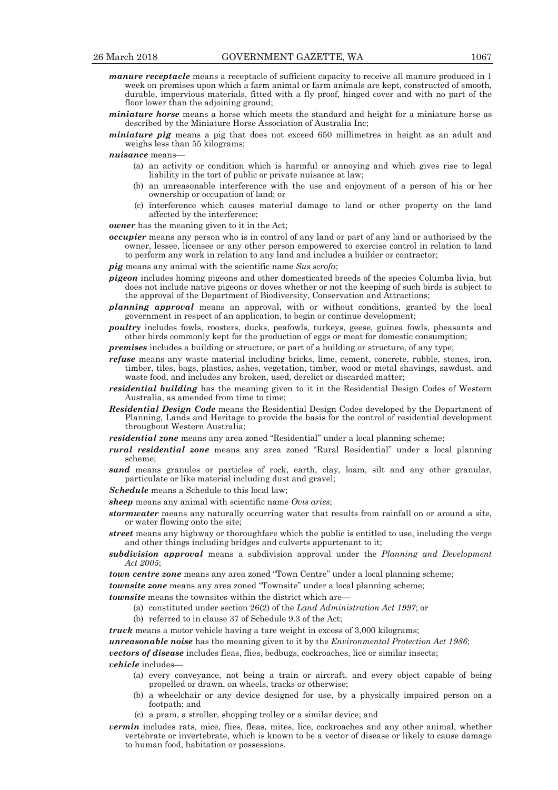- *manure receptacle* means a receptacle of sufficient capacity to receive all manure produced in 1 week on premises upon which a farm animal or farm animals are kept, constructed of smooth, durable, impervious materials, fitted with a fly proof, hinged cover and with no part of the floor lower than the adjoining ground;
- *miniature horse* means a horse which meets the standard and height for a miniature horse as described by the Miniature Horse Association of Australia Inc;
- *miniature pig* means a pig that does not exceed 650 millimetres in height as an adult and weighs less than 55 kilograms;

*nuisance* means—

- (a) an activity or condition which is harmful or annoying and which gives rise to legal liability in the tort of public or private nuisance at law;
- (b) an unreasonable interference with the use and enjoyment of a person of his or her ownership or occupation of land; or
- (c) interference which causes material damage to land or other property on the land affected by the interference;

*owner* has the meaning given to it in the Act;

- *occupier* means any person who is in control of any land or part of any land or authorised by the owner, lessee, licensee or any other person empowered to exercise control in relation to land to perform any work in relation to any land and includes a builder or contractor;
- *pig* means any animal with the scientific name *Sus scrofa*;
- *pigeon* includes homing pigeons and other domesticated breeds of the species Columba livia, but does not include native pigeons or doves whether or not the keeping of such birds is subject to the approval of the Department of Biodiversity, Conservation and Attractions;
- *planning approval* means an approval, with or without conditions, granted by the local government in respect of an application, to begin or continue development;
- *poultry* includes fowls, roosters, ducks, peafowls, turkeys, geese, guinea fowls, pheasants and other birds commonly kept for the production of eggs or meat for domestic consumption;
- *premises* includes a building or structure, or part of a building or structure, of any type;
- *refuse* means any waste material including bricks, lime, cement, concrete, rubble, stones, iron, timber, tiles, bags, plastics, ashes, vegetation, timber, wood or metal shavings, sawdust, and waste food, and includes any broken, used, derelict or discarded matter;
- *residential building* has the meaning given to it in the Residential Design Codes of Western Australia, as amended from time to time;
- *Residential Design Code* means the Residential Design Codes developed by the Department of Planning, Lands and Heritage to provide the basis for the control of residential development throughout Western Australia;
- *residential zone* means any area zoned "Residential" under a local planning scheme;
- *rural residential zone* means any area zoned "Rural Residential" under a local planning scheme;
- *sand* means granules or particles of rock, earth, clay, loam, silt and any other granular, particulate or like material including dust and gravel;
- *Schedule* means a Schedule to this local law;
- *sheep* means any animal with scientific name *Ovis aries*;
- *stormwater* means any naturally occurring water that results from rainfall on or around a site, or water flowing onto the site;
- *street* means any highway or thoroughfare which the public is entitled to use, including the verge and other things including bridges and culverts appurtenant to it;
- *subdivision approval* means a subdivision approval under the *Planning and Development Act 2005*;
- *town centre zone* means any area zoned "Town Centre" under a local planning scheme;

*townsite zone* means any area zoned "Townsite" under a local planning scheme;

*townsite* means the townsites within the district which are

- (a) constituted under section 26(2) of the *Land Administration Act 1997*; or
- (b) referred to in clause 37 of Schedule 9.3 of the Act;

*truck* means a motor vehicle having a tare weight in excess of 3,000 kilograms;

*unreasonable noise* has the meaning given to it by the *Environmental Protection Act 1986*;

*vectors of disease* includes fleas, flies, bedbugs, cockroaches, lice or similar insects;

*vehicle* includes—

- (a) every conveyance, not being a train or aircraft, and every object capable of being propelled or drawn, on wheels, tracks or otherwise;
- (b) a wheelchair or any device designed for use, by a physically impaired person on a footpath; and
- (c) a pram, a stroller, shopping trolley or a similar device; and
- *vermin* includes rats, mice, flies, fleas, mites, lice, cockroaches and any other animal, whether vertebrate or invertebrate, which is known to be a vector of disease or likely to cause damage to human food, habitation or possessions.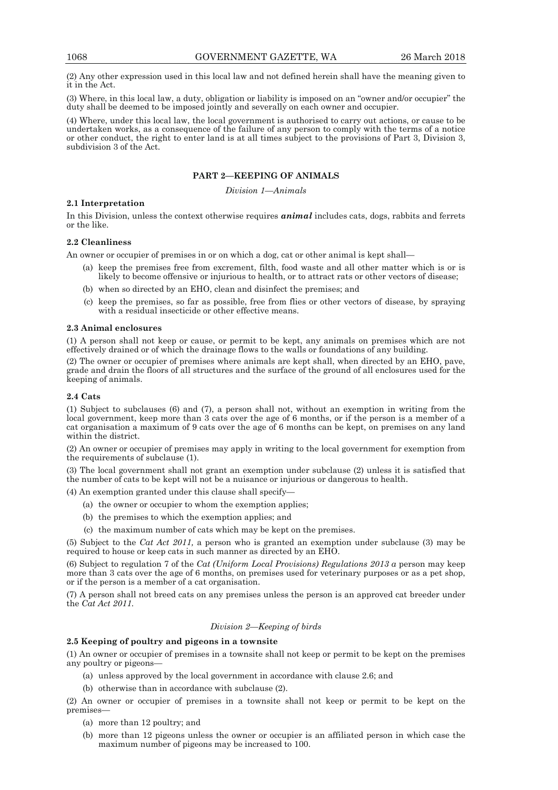(2) Any other expression used in this local law and not defined herein shall have the meaning given to it in the Act.

(3) Where, in this local law, a duty, obligation or liability is imposed on an "owner and/or occupier" the duty shall be deemed to be imposed jointly and severally on each owner and occupier.

(4) Where, under this local law, the local government is authorised to carry out actions, or cause to be undertaken works, as a consequence of the failure of any person to comply with the terms of a notice or other conduct, the right to enter land is at all times subject to the provisions of Part 3, Division 3, subdivision 3 of the Act.

## **PART 2—KEEPING OF ANIMALS**

*Division 1—Animals* 

## **2.1 Interpretation**

In this Division, unless the context otherwise requires *animal* includes cats, dogs, rabbits and ferrets or the like.

## **2.2 Cleanliness**

An owner or occupier of premises in or on which a dog, cat or other animal is kept shall—

- (a) keep the premises free from excrement, filth, food waste and all other matter which is or is likely to become offensive or injurious to health, or to attract rats or other vectors of disease;
- (b) when so directed by an EHO, clean and disinfect the premises; and
- (c) keep the premises, so far as possible, free from flies or other vectors of disease, by spraying with a residual insecticide or other effective means.

#### **2.3 Animal enclosures**

(1) A person shall not keep or cause, or permit to be kept, any animals on premises which are not effectively drained or of which the drainage flows to the walls or foundations of any building.

(2) The owner or occupier of premises where animals are kept shall, when directed by an EHO, pave, grade and drain the floors of all structures and the surface of the ground of all enclosures used for the keeping of animals.

#### **2.4 Cats**

(1) Subject to subclauses (6) and (7), a person shall not, without an exemption in writing from the local government, keep more than 3 cats over the age of 6 months, or if the person is a member of a cat organisation a maximum of 9 cats over the age of 6 months can be kept, on premises on any land within the district.

(2) An owner or occupier of premises may apply in writing to the local government for exemption from the requirements of subclause (1).

(3) The local government shall not grant an exemption under subclause (2) unless it is satisfied that the number of cats to be kept will not be a nuisance or injurious or dangerous to health.

(4) An exemption granted under this clause shall specify—

- (a) the owner or occupier to whom the exemption applies;
- (b) the premises to which the exemption applies; and
- (c) the maximum number of cats which may be kept on the premises.

(5) Subject to the *Cat Act 2011,* a person who is granted an exemption under subclause (3) may be required to house or keep cats in such manner as directed by an EHO.

(6) Subject to regulation 7 of the *Cat (Uniform Local Provisions) Regulations 2013 a* person may keep more than 3 cats over the age of 6 months, on premises used for veterinary purposes or as a pet shop, or if the person is a member of a cat organisation.

(7) A person shall not breed cats on any premises unless the person is an approved cat breeder under the *Cat Act 2011.* 

#### *Division 2—Keeping of birds*

## **2.5 Keeping of poultry and pigeons in a townsite**

(1) An owner or occupier of premises in a townsite shall not keep or permit to be kept on the premises any poultry or pigeons—

- (a) unless approved by the local government in accordance with clause 2.6; and
- (b) otherwise than in accordance with subclause (2).

(2) An owner or occupier of premises in a townsite shall not keep or permit to be kept on the premises—

- (a) more than 12 poultry; and
- (b) more than 12 pigeons unless the owner or occupier is an affiliated person in which case the maximum number of pigeons may be increased to 100.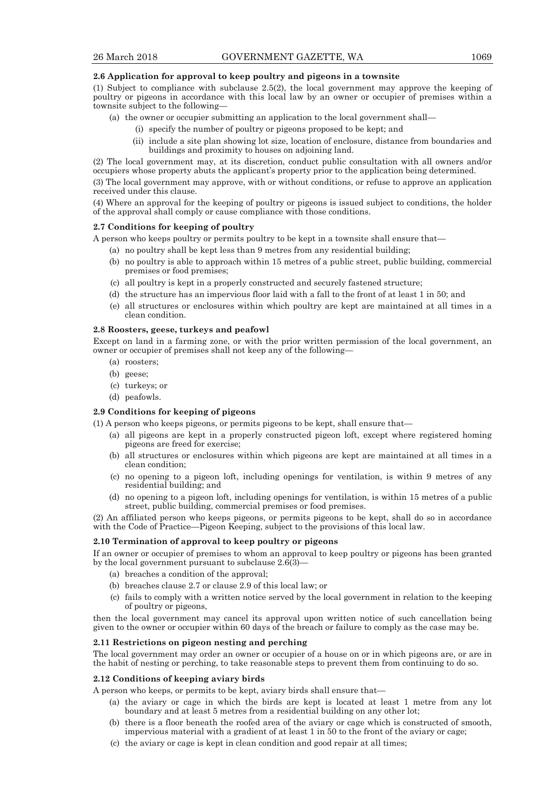### **2.6 Application for approval to keep poultry and pigeons in a townsite**

(1) Subject to compliance with subclause 2.5(2), the local government may approve the keeping of poultry or pigeons in accordance with this local law by an owner or occupier of premises within a townsite subject to the following—

- (a) the owner or occupier submitting an application to the local government shall—
	- (i) specify the number of poultry or pigeons proposed to be kept; and
	- (ii) include a site plan showing lot size, location of enclosure, distance from boundaries and buildings and proximity to houses on adjoining land.

(2) The local government may, at its discretion, conduct public consultation with all owners and/or occupiers whose property abuts the applicant's property prior to the application being determined.

(3) The local government may approve, with or without conditions, or refuse to approve an application received under this clause.

(4) Where an approval for the keeping of poultry or pigeons is issued subject to conditions, the holder of the approval shall comply or cause compliance with those conditions.

## **2.7 Conditions for keeping of poultry**

A person who keeps poultry or permits poultry to be kept in a townsite shall ensure that—

- (a) no poultry shall be kept less than 9 metres from any residential building;
- (b) no poultry is able to approach within 15 metres of a public street, public building, commercial premises or food premises;
- (c) all poultry is kept in a properly constructed and securely fastened structure;
- (d) the structure has an impervious floor laid with a fall to the front of at least 1 in 50; and
- (e) all structures or enclosures within which poultry are kept are maintained at all times in a clean condition.

#### **2.8 Roosters, geese, turkeys and peafowl**

Except on land in a farming zone, or with the prior written permission of the local government, an owner or occupier of premises shall not keep any of the following—

- (a) roosters;
- (b) geese;
- (c) turkeys; or
- (d) peafowls.

## **2.9 Conditions for keeping of pigeons**

(1) A person who keeps pigeons, or permits pigeons to be kept, shall ensure that—

- (a) all pigeons are kept in a properly constructed pigeon loft, except where registered homing pigeons are freed for exercise;
- (b) all structures or enclosures within which pigeons are kept are maintained at all times in a clean condition;
- (c) no opening to a pigeon loft, including openings for ventilation, is within 9 metres of any residential building; and
- (d) no opening to a pigeon loft, including openings for ventilation, is within 15 metres of a public street, public building, commercial premises or food premises.

(2) An affiliated person who keeps pigeons, or permits pigeons to be kept, shall do so in accordance with the Code of Practice—Pigeon Keeping, subject to the provisions of this local law.

#### **2.10 Termination of approval to keep poultry or pigeons**

If an owner or occupier of premises to whom an approval to keep poultry or pigeons has been granted by the local government pursuant to subclause  $2.\overline{6(3)}$ 

- (a) breaches a condition of the approval;
- (b) breaches clause 2.7 or clause 2.9 of this local law; or
- (c) fails to comply with a written notice served by the local government in relation to the keeping of poultry or pigeons,

then the local government may cancel its approval upon written notice of such cancellation being given to the owner or occupier within 60 days of the breach or failure to comply as the case may be.

## **2.11 Restrictions on pigeon nesting and perching**

The local government may order an owner or occupier of a house on or in which pigeons are, or are in the habit of nesting or perching, to take reasonable steps to prevent them from continuing to do so.

#### **2.12 Conditions of keeping aviary birds**

A person who keeps, or permits to be kept, aviary birds shall ensure that—

- (a) the aviary or cage in which the birds are kept is located at least 1 metre from any lot boundary and at least 5 metres from a residential building on any other lot;
- (b) there is a floor beneath the roofed area of the aviary or cage which is constructed of smooth, impervious material with a gradient of at least 1 in 50 to the front of the aviary or cage;
- (c) the aviary or cage is kept in clean condition and good repair at all times;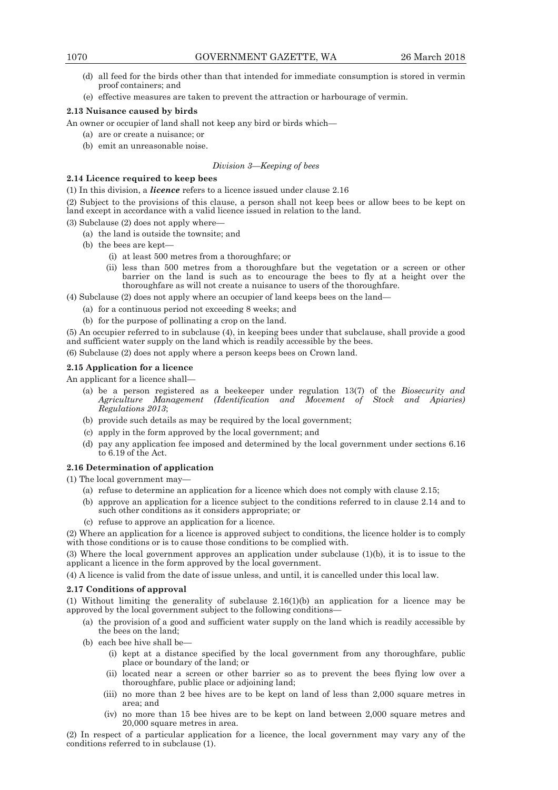- (d) all feed for the birds other than that intended for immediate consumption is stored in vermin proof containers; and
- (e) effective measures are taken to prevent the attraction or harbourage of vermin.

## **2.13 Nuisance caused by birds**

An owner or occupier of land shall not keep any bird or birds which—

- (a) are or create a nuisance; or
- (b) emit an unreasonable noise.

## *Division 3—Keeping of bees*

## **2.14 Licence required to keep bees**

(1) In this division, a *licence* refers to a licence issued under clause 2.16

(2) Subject to the provisions of this clause, a person shall not keep bees or allow bees to be kept on land except in accordance with a valid licence issued in relation to the land.

(3) Subclause (2) does not apply where—

- (a) the land is outside the townsite; and
- (b) the bees are kept—
	- (i) at least 500 metres from a thoroughfare; or
	- (ii) less than 500 metres from a thoroughfare but the vegetation or a screen or other barrier on the land is such as to encourage the bees to fly at a height over the thoroughfare as will not create a nuisance to users of the thoroughfare.

(4) Subclause (2) does not apply where an occupier of land keeps bees on the land—

- (a) for a continuous period not exceeding 8 weeks; and
- (b) for the purpose of pollinating a crop on the land.

(5) An occupier referred to in subclause (4), in keeping bees under that subclause, shall provide a good and sufficient water supply on the land which is readily accessible by the bees.

(6) Subclause (2) does not apply where a person keeps bees on Crown land.

## **2.15 Application for a licence**

An applicant for a licence shall-

- (a) be a person registered as a beekeeper under regulation 13(7) of the *Biosecurity and Agriculture Management (Identification and Movement of Stock and Apiaries) Regulations 2013*;
- (b) provide such details as may be required by the local government;
- (c) apply in the form approved by the local government; and
- (d) pay any application fee imposed and determined by the local government under sections 6.16 to 6.19 of the Act.

## **2.16 Determination of application**

(1) The local government may—

- (a) refuse to determine an application for a licence which does not comply with clause 2.15;
- (b) approve an application for a licence subject to the conditions referred to in clause 2.14 and to such other conditions as it considers appropriate; or
- (c) refuse to approve an application for a licence.

(2) Where an application for a licence is approved subject to conditions, the licence holder is to comply with those conditions or is to cause those conditions to be complied with.

(3) Where the local government approves an application under subclause (1)(b), it is to issue to the applicant a licence in the form approved by the local government.

(4) A licence is valid from the date of issue unless, and until, it is cancelled under this local law.

## **2.17 Conditions of approval**

(1) Without limiting the generality of subclause 2.16(1)(b) an application for a licence may be approved by the local government subject to the following conditions—

- (a) the provision of a good and sufficient water supply on the land which is readily accessible by the bees on the land;
- (b) each bee hive shall be—
	- (i) kept at a distance specified by the local government from any thoroughfare, public place or boundary of the land; or
	- (ii) located near a screen or other barrier so as to prevent the bees flying low over a thoroughfare, public place or adjoining land;
	- (iii) no more than 2 bee hives are to be kept on land of less than 2,000 square metres in area; and
	- (iv) no more than 15 bee hives are to be kept on land between 2,000 square metres and 20,000 square metres in area.

(2) In respect of a particular application for a licence, the local government may vary any of the conditions referred to in subclause (1).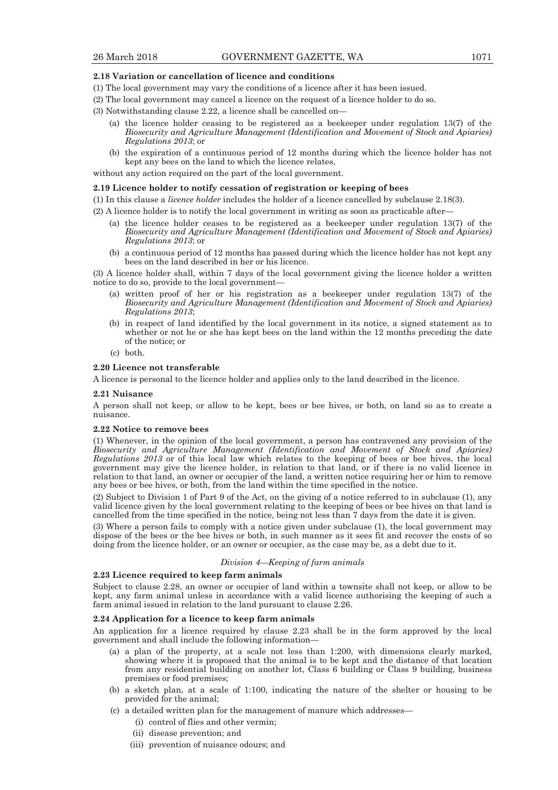#### **2.18 Variation or cancellation of licence and conditions**

- (1) The local government may vary the conditions of a licence after it has been issued.
- (2) The local government may cancel a licence on the request of a licence holder to do so.
- (3) Notwithstanding clause 2.22, a licence shall be cancelled on—
	- (a) the licence holder ceasing to be registered as a beekeeper under regulation 13(7) of the *Biosecurity and Agriculture Management (Identification and Movement of Stock and Apiaries) Regulations 2013*; or
	- (b) the expiration of a continuous period of 12 months during which the licence holder has not kept any bees on the land to which the licence relates,

without any action required on the part of the local government.

#### **2.19 Licence holder to notify cessation of registration or keeping of bees**

(1) In this clause a *licence holder* includes the holder of a licence cancelled by subclause 2.18(3).

- (2) A licence holder is to notify the local government in writing as soon as practicable after—
	- (a) the licence holder ceases to be registered as a beekeeper under regulation 13(7) of the *Biosecurity and Agriculture Management (Identification and Movement of Stock and Apiaries) Regulations 2013*; or
	- (b) a continuous period of 12 months has passed during which the licence holder has not kept any bees on the land described in her or his licence.

(3) A licence holder shall, within 7 days of the local government giving the licence holder a written notice to do so, provide to the local government—

- (a) written proof of her or his registration as a beekeeper under regulation 13(7) of the *Biosecurity and Agriculture Management (Identification and Movement of Stock and Apiaries) Regulations 2013*;
- (b) in respect of land identified by the local government in its notice, a signed statement as to whether or not he or she has kept bees on the land within the 12 months preceding the date of the notice; or
- (c) both.

#### **2.20 Licence not transferable**

A licence is personal to the licence holder and applies only to the land described in the licence.

#### **2.21 Nuisance**

A person shall not keep, or allow to be kept, bees or bee hives, or both, on land so as to create a nuisance.

#### **2.22 Notice to remove bees**

(1) Whenever, in the opinion of the local government, a person has contravened any provision of the *Biosecurity and Agriculture Management (Identification and Movement of Stock and Apiaries) Regulations 2013* or of this local law which relates to the keeping of bees or bee hives, the local government may give the licence holder, in relation to that land, or if there is no valid licence in relation to that land, an owner or occupier of the land, a written notice requiring her or him to remove any bees or bee hives, or both, from the land within the time specified in the notice.

(2) Subject to Division 1 of Part 9 of the Act, on the giving of a notice referred to in subclause (1), any valid licence given by the local government relating to the keeping of bees or bee hives on that land is cancelled from the time specified in the notice, being not less than 7 days from the date it is given.

(3) Where a person fails to comply with a notice given under subclause (1), the local government may dispose of the bees or the bee hives or both, in such manner as it sees fit and recover the costs of so doing from the licence holder, or an owner or occupier, as the case may be, as a debt due to it.

#### *Division 4—Keeping of farm animals*

## **2.23 Licence required to keep farm animals**

Subject to clause 2.28, an owner or occupier of land within a townsite shall not keep, or allow to be kept, any farm animal unless in accordance with a valid licence authorising the keeping of such a farm animal issued in relation to the land pursuant to clause 2.26.

#### **2.24 Application for a licence to keep farm animals**

An application for a licence required by clause 2.23 shall be in the form approved by the local government and shall include the following information—

- (a) a plan of the property, at a scale not less than 1:200, with dimensions clearly marked, showing where it is proposed that the animal is to be kept and the distance of that location from any residential building on another lot, Class 6 building or Class 9 building, business premises or food premises;
- (b) a sketch plan, at a scale of 1:100, indicating the nature of the shelter or housing to be provided for the animal;
- (c) a detailed written plan for the management of manure which addresses—
	- (i) control of flies and other vermin;
	- (ii) disease prevention; and
	- (iii) prevention of nuisance odours; and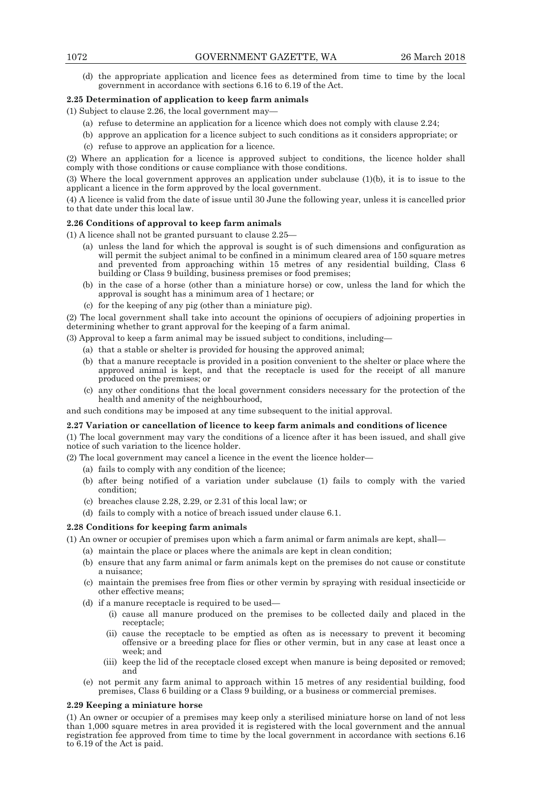(d) the appropriate application and licence fees as determined from time to time by the local government in accordance with sections 6.16 to 6.19 of the Act.

### **2.25 Determination of application to keep farm animals**

(1) Subject to clause 2.26, the local government may—

- (a) refuse to determine an application for a licence which does not comply with clause 2.24;
- (b) approve an application for a licence subject to such conditions as it considers appropriate; or
- (c) refuse to approve an application for a licence.

(2) Where an application for a licence is approved subject to conditions, the licence holder shall comply with those conditions or cause compliance with those conditions.

(3) Where the local government approves an application under subclause (1)(b), it is to issue to the applicant a licence in the form approved by the local government.

(4) A licence is valid from the date of issue until 30 June the following year, unless it is cancelled prior to that date under this local law.

## **2.26 Conditions of approval to keep farm animals**

(1) A licence shall not be granted pursuant to clause 2.25—

- (a) unless the land for which the approval is sought is of such dimensions and configuration as will permit the subject animal to be confined in a minimum cleared area of 150 square metres and prevented from approaching within 15 metres of any residential building, Class 6 building or Class 9 building, business premises or food premises;
- (b) in the case of a horse (other than a miniature horse) or cow, unless the land for which the approval is sought has a minimum area of 1 hectare; or
- (c) for the keeping of any pig (other than a miniature pig).

(2) The local government shall take into account the opinions of occupiers of adjoining properties in determining whether to grant approval for the keeping of a farm animal.

(3) Approval to keep a farm animal may be issued subject to conditions, including—

- (a) that a stable or shelter is provided for housing the approved animal;
- (b) that a manure receptacle is provided in a position convenient to the shelter or place where the approved animal is kept, and that the receptacle is used for the receipt of all manure produced on the premises; or
- (c) any other conditions that the local government considers necessary for the protection of the health and amenity of the neighbourhood,

and such conditions may be imposed at any time subsequent to the initial approval.

## **2.27 Variation or cancellation of licence to keep farm animals and conditions of licence**

(1) The local government may vary the conditions of a licence after it has been issued, and shall give notice of such variation to the licence holder.

(2) The local government may cancel a licence in the event the licence holder—

- (a) fails to comply with any condition of the licence;
- (b) after being notified of a variation under subclause (1) fails to comply with the varied condition;
- (c) breaches clause 2.28, 2.29, or 2.31 of this local law; or
- (d) fails to comply with a notice of breach issued under clause 6.1.

## **2.28 Conditions for keeping farm animals**

(1) An owner or occupier of premises upon which a farm animal or farm animals are kept, shall—

- (a) maintain the place or places where the animals are kept in clean condition;
- (b) ensure that any farm animal or farm animals kept on the premises do not cause or constitute a nuisance;
- (c) maintain the premises free from flies or other vermin by spraying with residual insecticide or other effective means;
- (d) if a manure receptacle is required to be used—
	- (i) cause all manure produced on the premises to be collected daily and placed in the receptacle;
	- (ii) cause the receptacle to be emptied as often as is necessary to prevent it becoming offensive or a breeding place for flies or other vermin, but in any case at least once a week; and
	- (iii) keep the lid of the receptacle closed except when manure is being deposited or removed; and
- (e) not permit any farm animal to approach within 15 metres of any residential building, food premises, Class 6 building or a Class 9 building, or a business or commercial premises.

#### **2.29 Keeping a miniature horse**

(1) An owner or occupier of a premises may keep only a sterilised miniature horse on land of not less than 1,000 square metres in area provided it is registered with the local government and the annual registration fee approved from time to time by the local government in accordance with sections 6.16 to 6.19 of the Act is paid.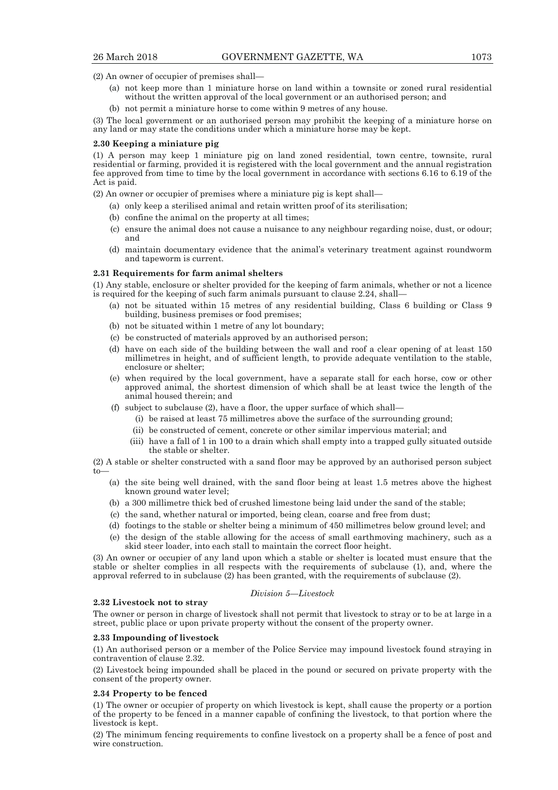(2) An owner of occupier of premises shall—

- (a) not keep more than 1 miniature horse on land within a townsite or zoned rural residential without the written approval of the local government or an authorised person; and
- (b) not permit a miniature horse to come within 9 metres of any house.

(3) The local government or an authorised person may prohibit the keeping of a miniature horse on any land or may state the conditions under which a miniature horse may be kept.

#### **2.30 Keeping a miniature pig**

(1) A person may keep 1 miniature pig on land zoned residential, town centre, townsite, rural residential or farming, provided it is registered with the local government and the annual registration fee approved from time to time by the local government in accordance with sections 6.16 to 6.19 of the Act is paid.

(2) An owner or occupier of premises where a miniature pig is kept shall—

- (a) only keep a sterilised animal and retain written proof of its sterilisation;
- (b) confine the animal on the property at all times;
- (c) ensure the animal does not cause a nuisance to any neighbour regarding noise, dust, or odour; and
- (d) maintain documentary evidence that the animal's veterinary treatment against roundworm and tapeworm is current.

#### **2.31 Requirements for farm animal shelters**

(1) Any stable, enclosure or shelter provided for the keeping of farm animals, whether or not a licence is required for the keeping of such farm animals pursuant to clause 2.24, shall—

- (a) not be situated within 15 metres of any residential building, Class 6 building or Class 9 building, business premises or food premises;
- (b) not be situated within 1 metre of any lot boundary;
- (c) be constructed of materials approved by an authorised person;
- (d) have on each side of the building between the wall and roof a clear opening of at least 150 millimetres in height, and of sufficient length, to provide adequate ventilation to the stable, enclosure or shelter;
- (e) when required by the local government, have a separate stall for each horse, cow or other approved animal, the shortest dimension of which shall be at least twice the length of the animal housed therein; and
- (f) subject to subclause (2), have a floor, the upper surface of which shall—
	- (i) be raised at least 75 millimetres above the surface of the surrounding ground;
	- (ii) be constructed of cement, concrete or other similar impervious material; and
	- (iii) have a fall of 1 in 100 to a drain which shall empty into a trapped gully situated outside the stable or shelter.

(2) A stable or shelter constructed with a sand floor may be approved by an authorised person subject  $t_0$ 

- (a) the site being well drained, with the sand floor being at least 1.5 metres above the highest known ground water level;
- (b) a 300 millimetre thick bed of crushed limestone being laid under the sand of the stable;
- (c) the sand, whether natural or imported, being clean, coarse and free from dust;
- (d) footings to the stable or shelter being a minimum of 450 millimetres below ground level; and
- (e) the design of the stable allowing for the access of small earthmoving machinery, such as a skid steer loader, into each stall to maintain the correct floor height.

(3) An owner or occupier of any land upon which a stable or shelter is located must ensure that the stable or shelter complies in all respects with the requirements of subclause (1), and, where the approval referred to in subclause (2) has been granted, with the requirements of subclause (2).

## *Division 5—Livestock*

The owner or person in charge of livestock shall not permit that livestock to stray or to be at large in a street, public place or upon private property without the consent of the property owner.

#### **2.33 Impounding of livestock**

**2.32 Livestock not to stray** 

(1) An authorised person or a member of the Police Service may impound livestock found straying in contravention of clause 2.32.

(2) Livestock being impounded shall be placed in the pound or secured on private property with the consent of the property owner.

#### **2.34 Property to be fenced**

(1) The owner or occupier of property on which livestock is kept, shall cause the property or a portion of the property to be fenced in a manner capable of confining the livestock, to that portion where the livestock is kept.

(2) The minimum fencing requirements to confine livestock on a property shall be a fence of post and wire construction.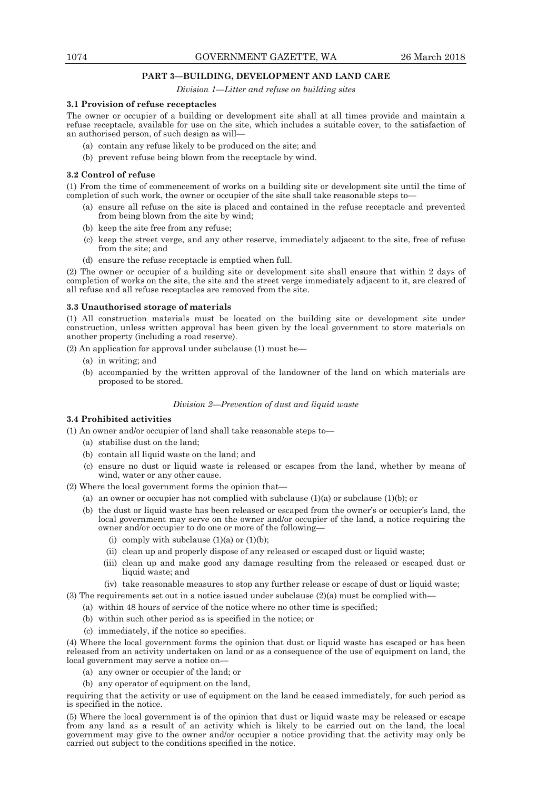## **PART 3—BUILDING, DEVELOPMENT AND LAND CARE**

*Division 1—Litter and refuse on building sites* 

#### **3.1 Provision of refuse receptacles**

The owner or occupier of a building or development site shall at all times provide and maintain a refuse receptacle, available for use on the site, which includes a suitable cover, to the satisfaction of an authorised person, of such design as will—

- (a) contain any refuse likely to be produced on the site; and
- (b) prevent refuse being blown from the receptacle by wind.

#### **3.2 Control of refuse**

(1) From the time of commencement of works on a building site or development site until the time of completion of such work, the owner or occupier of the site shall take reasonable steps to—

- (a) ensure all refuse on the site is placed and contained in the refuse receptacle and prevented from being blown from the site by wind;
- (b) keep the site free from any refuse;
- (c) keep the street verge, and any other reserve, immediately adjacent to the site, free of refuse from the site; and
- (d) ensure the refuse receptacle is emptied when full.

(2) The owner or occupier of a building site or development site shall ensure that within 2 days of completion of works on the site, the site and the street verge immediately adjacent to it, are cleared of all refuse and all refuse receptacles are removed from the site.

#### **3.3 Unauthorised storage of materials**

(1) All construction materials must be located on the building site or development site under construction, unless written approval has been given by the local government to store materials on another property (including a road reserve).

(2) An application for approval under subclause (1) must be—

- (a) in writing; and
- (b) accompanied by the written approval of the landowner of the land on which materials are proposed to be stored.

#### *Division 2—Prevention of dust and liquid waste*

## **3.4 Prohibited activities**

(1) An owner and/or occupier of land shall take reasonable steps to—

- (a) stabilise dust on the land;
- (b) contain all liquid waste on the land; and
- (c) ensure no dust or liquid waste is released or escapes from the land, whether by means of wind, water or any other cause.

(2) Where the local government forms the opinion that—

- (a) an owner or occupier has not complied with subclause  $(1)(a)$  or subclause  $(1)(b)$ ; or
- (b) the dust or liquid waste has been released or escaped from the owner's or occupier's land, the local government may serve on the owner and/or occupier of the land, a notice requiring the owner and/or occupier to do one or more of the following—
	- (i) comply with subclause  $(1)(a)$  or  $(1)(b)$ ;
	- (ii) clean up and properly dispose of any released or escaped dust or liquid waste;
	- (iii) clean up and make good any damage resulting from the released or escaped dust or liquid waste; and
	- (iv) take reasonable measures to stop any further release or escape of dust or liquid waste;

(3) The requirements set out in a notice issued under subclause  $(2)(a)$  must be complied with—

- (a) within 48 hours of service of the notice where no other time is specified;
	- (b) within such other period as is specified in the notice; or
	- (c) immediately, if the notice so specifies.

(4) Where the local government forms the opinion that dust or liquid waste has escaped or has been released from an activity undertaken on land or as a consequence of the use of equipment on land, the local government may serve a notice on—

- (a) any owner or occupier of the land; or
- (b) any operator of equipment on the land,

requiring that the activity or use of equipment on the land be ceased immediately, for such period as is specified in the notice.

(5) Where the local government is of the opinion that dust or liquid waste may be released or escape from any land as a result of an activity which is likely to be carried out on the land, the local government may give to the owner and/or occupier a notice providing that the activity may only be carried out subject to the conditions specified in the notice.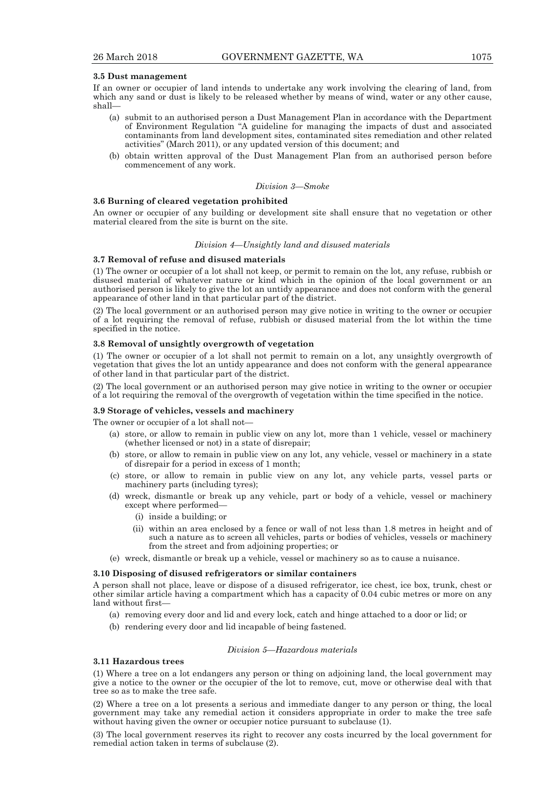#### **3.5 Dust management**

If an owner or occupier of land intends to undertake any work involving the clearing of land, from which any sand or dust is likely to be released whether by means of wind, water or any other cause, shall—

- (a) submit to an authorised person a Dust Management Plan in accordance with the Department of Environment Regulation "A guideline for managing the impacts of dust and associated contaminants from land development sites, contaminated sites remediation and other related activities" (March 2011), or any updated version of this document; and
- (b) obtain written approval of the Dust Management Plan from an authorised person before commencement of any work.

#### *Division 3—Smoke*

#### **3.6 Burning of cleared vegetation prohibited**

An owner or occupier of any building or development site shall ensure that no vegetation or other material cleared from the site is burnt on the site.

#### *Division 4—Unsightly land and disused materials*

#### **3.7 Removal of refuse and disused materials**

(1) The owner or occupier of a lot shall not keep, or permit to remain on the lot, any refuse, rubbish or disused material of whatever nature or kind which in the opinion of the local government or an authorised person is likely to give the lot an untidy appearance and does not conform with the general appearance of other land in that particular part of the district.

(2) The local government or an authorised person may give notice in writing to the owner or occupier of a lot requiring the removal of refuse, rubbish or disused material from the lot within the time specified in the notice.

#### **3.8 Removal of unsightly overgrowth of vegetation**

(1) The owner or occupier of a lot shall not permit to remain on a lot, any unsightly overgrowth of vegetation that gives the lot an untidy appearance and does not conform with the general appearance of other land in that particular part of the district.

(2) The local government or an authorised person may give notice in writing to the owner or occupier of a lot requiring the removal of the overgrowth of vegetation within the time specified in the notice.

#### **3.9 Storage of vehicles, vessels and machinery**

The owner or occupier of a lot shall not—

- (a) store, or allow to remain in public view on any lot, more than 1 vehicle, vessel or machinery (whether licensed or not) in a state of disrepair;
- (b) store, or allow to remain in public view on any lot, any vehicle, vessel or machinery in a state of disrepair for a period in excess of 1 month;
- (c) store, or allow to remain in public view on any lot, any vehicle parts, vessel parts or machinery parts (including tyres);
- (d) wreck, dismantle or break up any vehicle, part or body of a vehicle, vessel or machinery except where performed—
	- (i) inside a building; or
	- (ii) within an area enclosed by a fence or wall of not less than 1.8 metres in height and of such a nature as to screen all vehicles, parts or bodies of vehicles, vessels or machinery from the street and from adjoining properties; or
- (e) wreck, dismantle or break up a vehicle, vessel or machinery so as to cause a nuisance.

#### **3.10 Disposing of disused refrigerators or similar containers**

A person shall not place, leave or dispose of a disused refrigerator, ice chest, ice box, trunk, chest or other similar article having a compartment which has a capacity of 0.04 cubic metres or more on any land without first—

- (a) removing every door and lid and every lock, catch and hinge attached to a door or lid; or
- (b) rendering every door and lid incapable of being fastened.

#### *Division 5—Hazardous materials*

## **3.11 Hazardous trees**

(1) Where a tree on a lot endangers any person or thing on adjoining land, the local government may give a notice to the owner or the occupier of the lot to remove, cut, move or otherwise deal with that tree so as to make the tree safe.

(2) Where a tree on a lot presents a serious and immediate danger to any person or thing, the local government may take any remedial action it considers appropriate in order to make the tree safe without having given the owner or occupier notice pursuant to subclause (1).

(3) The local government reserves its right to recover any costs incurred by the local government for remedial action taken in terms of subclause (2).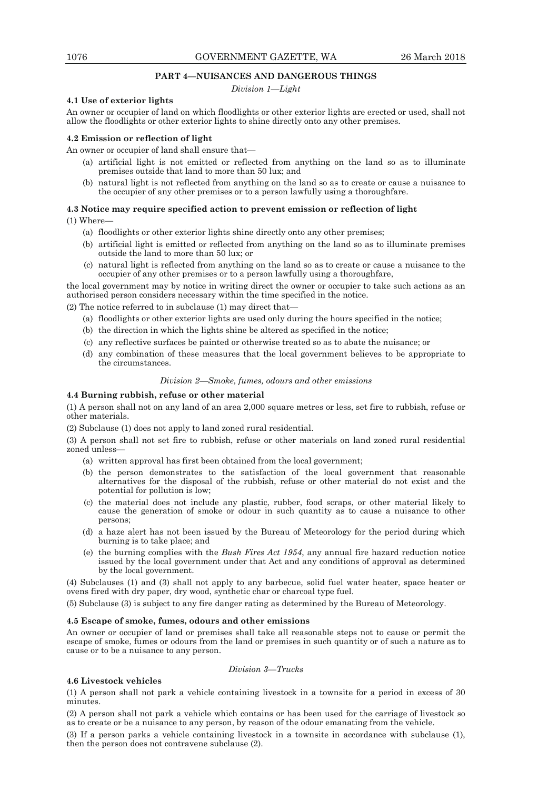## **PART 4—NUISANCES AND DANGEROUS THINGS**

*Division 1—Light* 

## **4.1 Use of exterior lights**

An owner or occupier of land on which floodlights or other exterior lights are erected or used, shall not allow the floodlights or other exterior lights to shine directly onto any other premises.

#### **4.2 Emission or reflection of light**

An owner or occupier of land shall ensure that—

- (a) artificial light is not emitted or reflected from anything on the land so as to illuminate premises outside that land to more than 50 lux; and
- (b) natural light is not reflected from anything on the land so as to create or cause a nuisance to the occupier of any other premises or to a person lawfully using a thoroughfare.

## **4.3 Notice may require specified action to prevent emission or reflection of light**

(1) Where—

- (a) floodlights or other exterior lights shine directly onto any other premises;
- (b) artificial light is emitted or reflected from anything on the land so as to illuminate premises outside the land to more than 50 lux; or
- (c) natural light is reflected from anything on the land so as to create or cause a nuisance to the occupier of any other premises or to a person lawfully using a thoroughfare,

the local government may by notice in writing direct the owner or occupier to take such actions as an authorised person considers necessary within the time specified in the notice.

(2) The notice referred to in subclause (1) may direct that—

- (a) floodlights or other exterior lights are used only during the hours specified in the notice;
- (b) the direction in which the lights shine be altered as specified in the notice;
- (c) any reflective surfaces be painted or otherwise treated so as to abate the nuisance; or
- (d) any combination of these measures that the local government believes to be appropriate to the circumstances.

#### *Division 2—Smoke, fumes, odours and other emissions*

## **4.4 Burning rubbish, refuse or other material**

(1) A person shall not on any land of an area 2,000 square metres or less, set fire to rubbish, refuse or other materials.

(2) Subclause (1) does not apply to land zoned rural residential.

(3) A person shall not set fire to rubbish, refuse or other materials on land zoned rural residential zoned unless—

- (a) written approval has first been obtained from the local government;
- (b) the person demonstrates to the satisfaction of the local government that reasonable alternatives for the disposal of the rubbish, refuse or other material do not exist and the potential for pollution is low;
- (c) the material does not include any plastic, rubber, food scraps, or other material likely to cause the generation of smoke or odour in such quantity as to cause a nuisance to other persons;
- (d) a haze alert has not been issued by the Bureau of Meteorology for the period during which burning is to take place; and
- (e) the burning complies with the *Bush Fires Act 1954*, any annual fire hazard reduction notice issued by the local government under that Act and any conditions of approval as determined by the local government.

(4) Subclauses (1) and (3) shall not apply to any barbecue, solid fuel water heater, space heater or ovens fired with dry paper, dry wood, synthetic char or charcoal type fuel.

(5) Subclause (3) is subject to any fire danger rating as determined by the Bureau of Meteorology.

## **4.5 Escape of smoke, fumes, odours and other emissions**

An owner or occupier of land or premises shall take all reasonable steps not to cause or permit the escape of smoke, fumes or odours from the land or premises in such quantity or of such a nature as to cause or to be a nuisance to any person.

#### *Division 3—Trucks*

#### **4.6 Livestock vehicles**

(1) A person shall not park a vehicle containing livestock in a townsite for a period in excess of 30 minutes.

(2) A person shall not park a vehicle which contains or has been used for the carriage of livestock so as to create or be a nuisance to any person, by reason of the odour emanating from the vehicle.

(3) If a person parks a vehicle containing livestock in a townsite in accordance with subclause (1), then the person does not contravene subclause (2).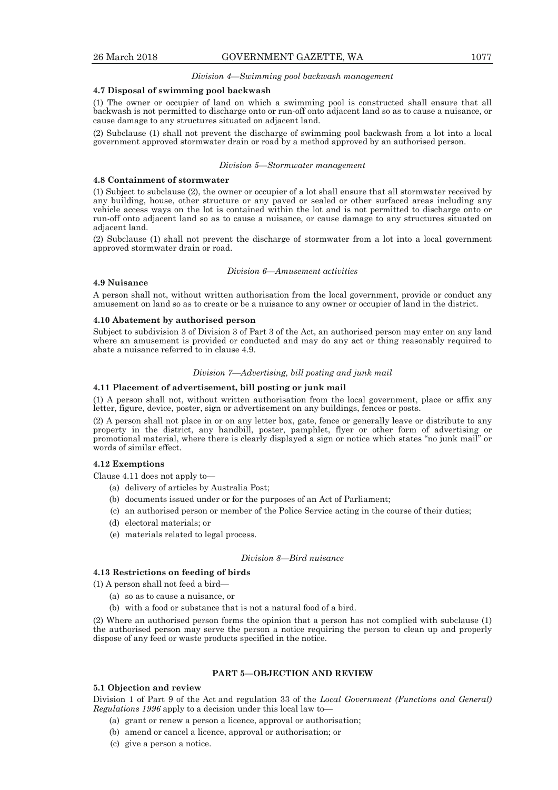#### *Division 4—Swimming pool backwash management*

#### **4.7 Disposal of swimming pool backwash**

(1) The owner or occupier of land on which a swimming pool is constructed shall ensure that all backwash is not permitted to discharge onto or run-off onto adjacent land so as to cause a nuisance, or cause damage to any structures situated on adjacent land.

(2) Subclause (1) shall not prevent the discharge of swimming pool backwash from a lot into a local government approved stormwater drain or road by a method approved by an authorised person.

#### *Division 5—Stormwater management*

#### **4.8 Containment of stormwater**

(1) Subject to subclause (2), the owner or occupier of a lot shall ensure that all stormwater received by any building, house, other structure or any paved or sealed or other surfaced areas including any vehicle access ways on the lot is contained within the lot and is not permitted to discharge onto or run-off onto adjacent land so as to cause a nuisance, or cause damage to any structures situated on adjacent land.

(2) Subclause (1) shall not prevent the discharge of stormwater from a lot into a local government approved stormwater drain or road.

#### *Division 6—Amusement activities*

#### **4.9 Nuisance**

A person shall not, without written authorisation from the local government, provide or conduct any amusement on land so as to create or be a nuisance to any owner or occupier of land in the district.

#### **4.10 Abatement by authorised person**

Subject to subdivision 3 of Division 3 of Part 3 of the Act, an authorised person may enter on any land where an amusement is provided or conducted and may do any act or thing reasonably required to abate a nuisance referred to in clause 4.9.

#### *Division 7—Advertising, bill posting and junk mail*

#### **4.11 Placement of advertisement, bill posting or junk mail**

(1) A person shall not, without written authorisation from the local government, place or affix any letter, figure, device, poster, sign or advertisement on any buildings, fences or posts.

(2) A person shall not place in or on any letter box, gate, fence or generally leave or distribute to any property in the district, any handbill, poster, pamphlet, flyer or other form of advertising or promotional material, where there is clearly displayed a sign or notice which states "no junk mail" or words of similar effect.

## **4.12 Exemptions**

Clause 4.11 does not apply to—

- (a) delivery of articles by Australia Post;
- (b) documents issued under or for the purposes of an Act of Parliament;
- (c) an authorised person or member of the Police Service acting in the course of their duties;
- (d) electoral materials; or
- (e) materials related to legal process.

#### *Division 8—Bird nuisance*

#### **4.13 Restrictions on feeding of birds**

(1) A person shall not feed a bird—

- (a) so as to cause a nuisance, or
- (b) with a food or substance that is not a natural food of a bird.

(2) Where an authorised person forms the opinion that a person has not complied with subclause (1) the authorised person may serve the person a notice requiring the person to clean up and properly dispose of any feed or waste products specified in the notice.

## **PART 5—OBJECTION AND REVIEW**

#### **5.1 Objection and review**

Division 1 of Part 9 of the Act and regulation 33 of the *Local Government (Functions and General) Regulations 1996* apply to a decision under this local law to—

- (a) grant or renew a person a licence, approval or authorisation;
- (b) amend or cancel a licence, approval or authorisation; or
- (c) give a person a notice.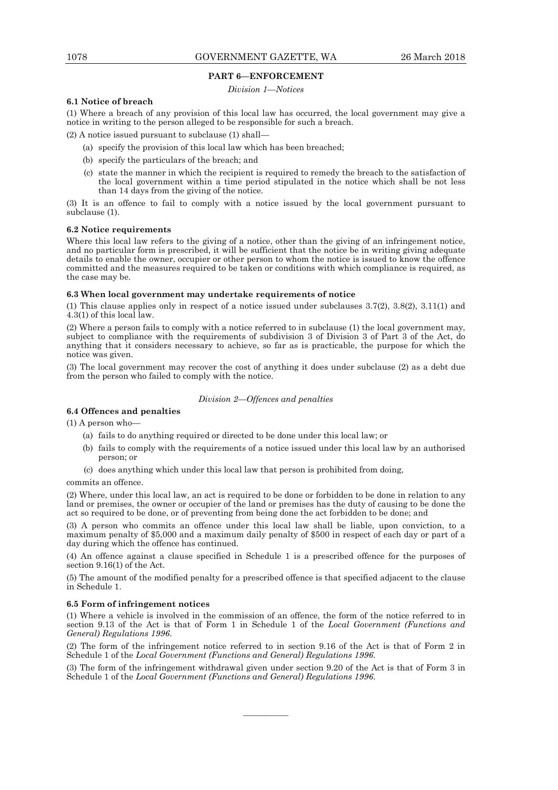#### **PART 6—ENFORCEMENT**

#### *Division 1—Notices*

#### **6.1 Notice of breach**

(1) Where a breach of any provision of this local law has occurred, the local government may give a notice in writing to the person alleged to be responsible for such a breach.

(2) A notice issued pursuant to subclause (1) shall—

- (a) specify the provision of this local law which has been breached;
- (b) specify the particulars of the breach; and
- (c) state the manner in which the recipient is required to remedy the breach to the satisfaction of the local government within a time period stipulated in the notice which shall be not less than 14 days from the giving of the notice.

(3) It is an offence to fail to comply with a notice issued by the local government pursuant to subclause (1).

## **6.2 Notice requirements**

Where this local law refers to the giving of a notice, other than the giving of an infringement notice, and no particular form is prescribed, it will be sufficient that the notice be in writing giving adequate details to enable the owner, occupier or other person to whom the notice is issued to know the offence committed and the measures required to be taken or conditions with which compliance is required, as the case may be.

#### **6.3 When local government may undertake requirements of notice**

(1) This clause applies only in respect of a notice issued under subclauses 3.7(2), 3.8(2), 3.11(1) and 4.3(1) of this local law.

(2) Where a person fails to comply with a notice referred to in subclause (1) the local government may, subject to compliance with the requirements of subdivision 3 of Division 3 of Part 3 of the Act, do anything that it considers necessary to achieve, so far as is practicable, the purpose for which the notice was given.

(3) The local government may recover the cost of anything it does under subclause (2) as a debt due from the person who failed to comply with the notice.

#### *Division 2—Offences and penalties*

## **6.4 Offences and penalties**

(1) A person who—

- (a) fails to do anything required or directed to be done under this local law; or
- (b) fails to comply with the requirements of a notice issued under this local law by an authorised person; or
- (c) does anything which under this local law that person is prohibited from doing,

commits an offence.

(2) Where, under this local law, an act is required to be done or forbidden to be done in relation to any land or premises, the owner or occupier of the land or premises has the duty of causing to be done the act so required to be done, or of preventing from being done the act forbidden to be done; and

(3) A person who commits an offence under this local law shall be liable, upon conviction, to a maximum penalty of \$5,000 and a maximum daily penalty of \$500 in respect of each day or part of a day during which the offence has continued.

(4) An offence against a clause specified in Schedule 1 is a prescribed offence for the purposes of section 9.16(1) of the Act.

(5) The amount of the modified penalty for a prescribed offence is that specified adjacent to the clause in Schedule 1.

#### **6.5 Form of infringement notices**

(1) Where a vehicle is involved in the commission of an offence, the form of the notice referred to in section 9.13 of the Act is that of Form 1 in Schedule 1 of the *Local Government (Functions and General) Regulations 1996*.

(2) The form of the infringement notice referred to in section 9.16 of the Act is that of Form 2 in Schedule 1 of the *Local Government (Functions and General) Regulations 1996*.

(3) The form of the infringement withdrawal given under section 9.20 of the Act is that of Form 3 in Schedule 1 of the *Local Government (Functions and General) Regulations 1996*.

————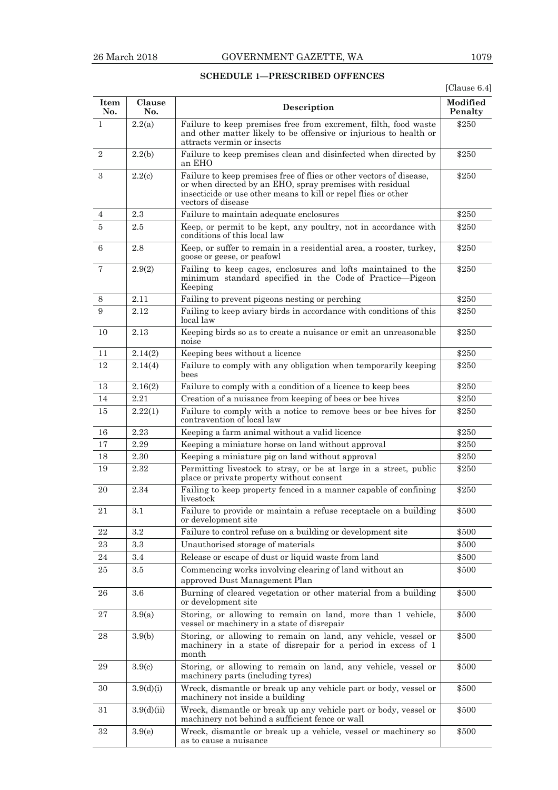## **SCHEDULE 1—PRESCRIBED OFFENCES**

[Clause 6.4]

| Item<br>No.    | Clause<br>No.      | Description                                                                                                                                                                                                             | Modified<br>Penalty |
|----------------|--------------------|-------------------------------------------------------------------------------------------------------------------------------------------------------------------------------------------------------------------------|---------------------|
| 1              | 2.2(a)             | Failure to keep premises free from excrement, filth, food waste<br>and other matter likely to be offensive or injurious to health or<br>attracts vermin or insects                                                      | \$250               |
| $\sqrt{2}$     | 2.2(b)             | Failure to keep premises clean and disinfected when directed by<br>an EHO                                                                                                                                               | \$250               |
| 3              | 2.2(c)             | Failure to keep premises free of flies or other vectors of disease,<br>or when directed by an EHO, spray premises with residual<br>insecticide or use other means to kill or repel flies or other<br>vectors of disease | \$250               |
| 4              | 2.3                | Failure to maintain adequate enclosures                                                                                                                                                                                 | \$250               |
| $\overline{5}$ | 2.5                | Keep, or permit to be kept, any poultry, not in accordance with<br>conditions of this local law                                                                                                                         | \$250               |
| 6              | 2.8                | Keep, or suffer to remain in a residential area, a rooster, turkey,<br>goose or geese, or peafowl                                                                                                                       | \$250               |
| 7              | 2.9(2)             | Failing to keep cages, enclosures and lofts maintained to the<br>minimum standard specified in the Code of Practice—Pigeon<br>Keeping                                                                                   | \$250               |
| 8              | 2.11               | Failing to prevent pigeons nesting or perching                                                                                                                                                                          | \$250               |
| 9              | 2.12               | Failing to keep aviary birds in accordance with conditions of this<br>local law                                                                                                                                         | \$250               |
| 10             | 2.13               | Keeping birds so as to create a nuisance or emit an unreasonable<br>noise                                                                                                                                               | \$250               |
| 11             | 2.14(2)            | Keeping bees without a licence                                                                                                                                                                                          | \$250               |
| 12             | 2.14(4)            | Failure to comply with any obligation when temporarily keeping<br>bees                                                                                                                                                  | \$250               |
| 13             | 2.16(2)            | Failure to comply with a condition of a licence to keep bees                                                                                                                                                            | \$250               |
| 14             | 2.21               | Creation of a nuisance from keeping of bees or bee hives                                                                                                                                                                | \$250               |
| 15             | 2.22(1)            | Failure to comply with a notice to remove bees or bee hives for<br>contravention of local law                                                                                                                           | \$250               |
| 16             | 2.23               | Keeping a farm animal without a valid licence                                                                                                                                                                           | \$250               |
| 17             | 2.29               | Keeping a miniature horse on land without approval                                                                                                                                                                      | \$250               |
| 18             | 2.30               | Keeping a miniature pig on land without approval                                                                                                                                                                        | \$250               |
| 19             | 2.32               | Permitting livestock to stray, or be at large in a street, public<br>place or private property without consent                                                                                                          | \$250               |
| 20             | 2.34               | Failing to keep property fenced in a manner capable of confining<br>livestock                                                                                                                                           | \$250               |
| 21             | 3.1                | Failure to provide or maintain a refuse receptacle on a building<br>or development site                                                                                                                                 | \$500               |
| 22             | $3.2\,$            | Failure to control refuse on a building or development site                                                                                                                                                             | \$500               |
| 23             | 3.3                | Unauthorised storage of materials                                                                                                                                                                                       | \$500               |
| 24             | 3.4                | Release or escape of dust or liquid waste from land                                                                                                                                                                     | \$500               |
| 25             | 3.5                | Commencing works involving clearing of land without an<br>approved Dust Management Plan                                                                                                                                 | \$500               |
| 26             | $3.6\,$            | Burning of cleared vegetation or other material from a building<br>or development site                                                                                                                                  | \$500               |
| 27             | 3.9(a)             | Storing, or allowing to remain on land, more than 1 vehicle,<br>vessel or machinery in a state of disrepair                                                                                                             | \$500               |
| 28             | 3.9(b)             | Storing, or allowing to remain on land, any vehicle, vessel or<br>machinery in a state of disrepair for a period in excess of 1<br>month                                                                                | \$500               |
| 29             | 3.9 <sub>(c)</sub> | Storing, or allowing to remain on land, any vehicle, vessel or<br>machinery parts (including tyres)                                                                                                                     | \$500               |
| 30             | 3.9(d)(i)          | Wreck, dismantle or break up any vehicle part or body, vessel or<br>machinery not inside a building                                                                                                                     | \$500               |
| 31             | 3.9(d)(ii)         | Wreck, dismantle or break up any vehicle part or body, vessel or<br>machinery not behind a sufficient fence or wall                                                                                                     | \$500               |
| 32             | 3.9(e)             | Wreck, dismantle or break up a vehicle, vessel or machinery so<br>as to cause a nuisance                                                                                                                                | \$500               |